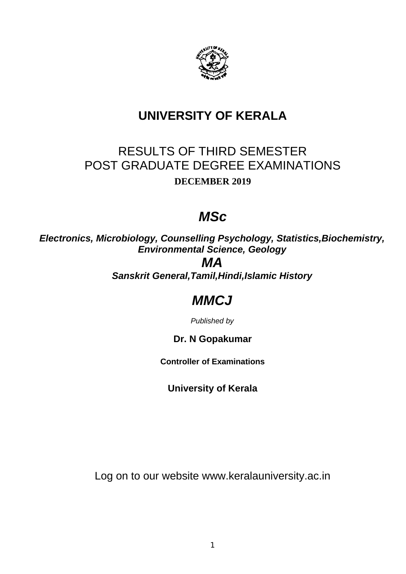

# **UNIVERSITY OF KERALA**

# RESULTS OF THIRD SEMESTER POST GRADUATE DEGREE EXAMINATIONS **DECEMBER 2019**

# *MSc*

*Electronics, Microbiology, Counselling Psychology, Statistics,Biochemistry, Environmental Science, Geology*

# *MA*

*Sanskrit General,Tamil,Hindi,Islamic History*

# *MMCJ*

*Published by*

## **Dr. N Gopakumar**

**Controller of Examinations**

**University of Kerala**

Log on to our website www.keralauniversity.ac.in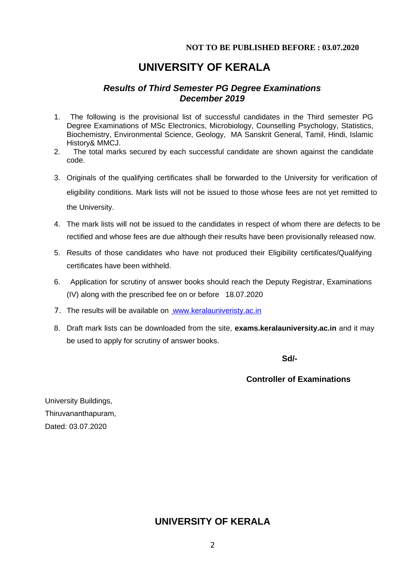### **NOT TO BE PUBLISHED BEFORE : 03.07.2020**

## **UNIVERSITY OF KERALA**

## *Results of Third Semester PG Degree Examinations December 2019*

- 1. The following is the provisional list of successful candidates in the Third semester PG Degree Examinations of MSc Electronics, Microbiology, Counselling Psychology, Statistics, Biochemistry, Environmental Science, Geology, MA Sanskrit General, Tamil, Hindi, Islamic History& MMCJ.
- 2. The total marks secured by each successful candidate are shown against the candidate code.
- 3. Originals of the qualifying certificates shall be forwarded to the University for verification of eligibility conditions. Mark lists will not be issued to those whose fees are not yet remitted to the University.
- 4. The mark lists will not be issued to the candidates in respect of whom there are defects to be rectified and whose fees are due although their results have been provisionally released now.
- 5. Results of those candidates who have not produced their Eligibility certificates/Qualifying certificates have been withheld.
- 6. Application for scrutiny of answer books should reach the Deputy Registrar, Examinations (IV) along with the prescribed fee on or before 18.07.2020
- 7. The results will be available on www.keralauniveristy.ac.in
- 8. Draft mark lists can be downloaded from the site, **exams.keralauniversity.ac.in** and it may be used to apply for scrutiny of answer books.

ا المراجع العالمية المراجع العالمية العالمية العالمية العالمية العالمية العالمية العالمية العالمية العالمية ال<br>والمراجع العالمية العالمية العالمية العالمية العالمية العالمية العالمية العالمية العالمية العالمية العالمية ال

## **Controller of Examinations**

 University Buildings, Thiruvananthapuram, Dated: 03.07.2020

## **UNIVERSITY OF KERALA**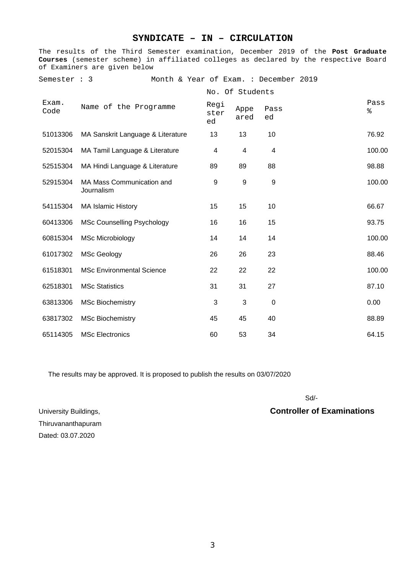## **SYNDICATE – IN – CIRCULATION**

The results of the Third Semester examination, December 2019 of the **Post Graduate Courses** (semester scheme) in affiliated colleges as declared by the respective Board of Examiners are given below

Semester : 3 Month & Year of Exam. : December 2019

|               |                                         |                    | No. Of Students  |                  |           |
|---------------|-----------------------------------------|--------------------|------------------|------------------|-----------|
| Exam.<br>Code | Name of the Programme                   | Regi<br>ster<br>ed | Appe<br>ared     | Pass<br>ed       | Pass<br>% |
| 51013306      | MA Sanskrit Language & Literature       | 13                 | 13               | 10               | 76.92     |
| 52015304      | MA Tamil Language & Literature          | 4                  | 4                | 4                | 100.00    |
| 52515304      | MA Hindi Language & Literature          | 89                 | 89               | 88               | 98.88     |
| 52915304      | MA Mass Communication and<br>Journalism | $\boldsymbol{9}$   | $\boldsymbol{9}$ | $\boldsymbol{9}$ | 100.00    |
| 54115304      | <b>MA Islamic History</b>               | 15                 | 15               | 10               | 66.67     |
| 60413306      | <b>MSc Counselling Psychology</b>       | 16                 | 16               | 15               | 93.75     |
| 60815304      | <b>MSc Microbiology</b>                 | 14                 | 14               | 14               | 100.00    |
| 61017302      | <b>MSc Geology</b>                      | 26                 | 26               | 23               | 88.46     |
| 61518301      | <b>MSc Environmental Science</b>        | 22                 | 22               | 22               | 100.00    |
| 62518301      | <b>MSc Statistics</b>                   | 31                 | 31               | 27               | 87.10     |
| 63813306      | <b>MSc Biochemistry</b>                 | 3                  | 3                | $\mathbf 0$      | 0.00      |
| 63817302      | <b>MSc Biochemistry</b>                 | 45                 | 45               | 40               | 88.89     |
| 65114305      | <b>MSc Electronics</b>                  | 60                 | 53               | 34               | 64.15     |

The results may be approved. It is proposed to publish the results on 03/07/2020

Sd/-Solar State State State State State State State State State State State State State State State State State State State State State State State State State State State State State State State State State State State St

### University Buildings, **Controller of Examinations**

Thiruvananthapuram Dated: 03.07.2020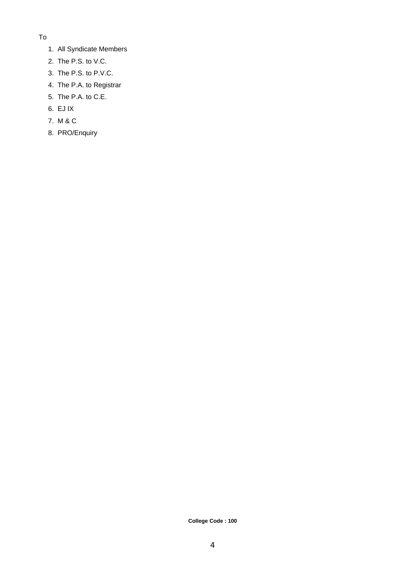- To
	- 1. All Syndicate Members
	- 2. The P.S. to V.C.
	- 3. The P.S. to P.V.C.
	- 4. The P.A. to Registrar
	- 5. The P.A. to C.E.
	- 6. EJ IX
	- 7. M & C
	- 8. PRO/Enquiry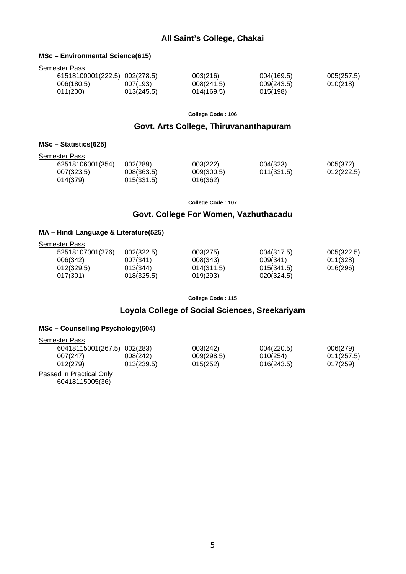### **All Saint's College, Chakai**

#### **MSc – Environmental Science(615)**

| Semester Pass      |  |
|--------------------|--|
| 61518100001(222.5) |  |

| 61518100001(222.5) 002(278.5) |            | 003(216)   | 004(169.5) | 005(257.5) |
|-------------------------------|------------|------------|------------|------------|
| 006(180.5)                    | 007(193)   | 008(241.5) | 009(243.5) | 010(218)   |
| 011(200)                      | 013(245.5) | 014(169.5) | 015(198)   |            |

**College Code : 106**

#### **Govt. Arts College, Thiruvananthapuram**

#### **MSc – Statistics(625)**

|--|

| טשט ו ושטשו      |            |            |            |            |
|------------------|------------|------------|------------|------------|
| 62518106001(354) | 002(289)   | 003(222)   | 004(323)   | 005(372)   |
| 007(323.5)       | 008(363.5) | 009(300.5) | 011(331.5) | 012(222.5) |
| 014(379)         | 015(331.5) | 016(362)   |            |            |

**College Code : 107**

#### **Govt. College For Women, Vazhuthacadu**

#### **MA – Hindi Language & Literature(525)**

| Semester Pass    |            |            |            |            |
|------------------|------------|------------|------------|------------|
| 52518107001(276) | 002(322.5) | 003(275)   | 004(317.5) | 005(322.5) |
| 006(342)         | 007(341)   | 008(343)   | 009(341)   | 011(328)   |
| 012(329.5)       | 013(344)   | 014(311.5) | 015(341.5) | 016(296)   |
| 017(301)         | 018(325.5) | 019(293)   | 020(324.5) |            |

**College Code : 115**

## **Loyola College of Social Sciences, Sreekariyam**

#### **MSc – Counselling Psychology(604)**

| Semester Pass               |            |            |            |            |
|-----------------------------|------------|------------|------------|------------|
| 60418115001(267.5) 002(283) |            | 003(242)   | 004(220.5) | 006(279)   |
| 007(247)                    | 008(242)   | 009(298.5) | 010(254)   | 011(257.5) |
| 012(279)                    | 013(239.5) | 015(252)   | 016(243.5) | 017(259)   |
| Doccod in Dractical Only    |            |            |            |            |

Passed in Practical Only 60418115005(36)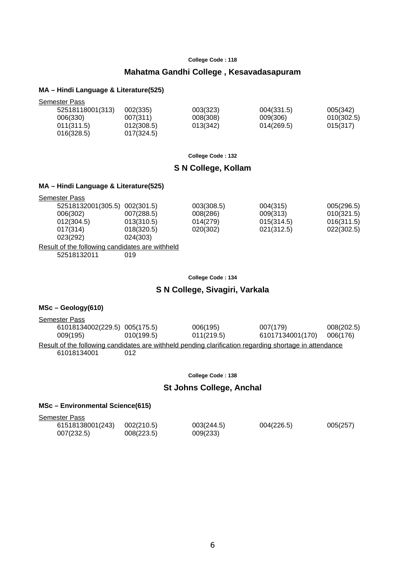#### **Mahatma Gandhi College , Kesavadasapuram**

#### **MA – Hindi Language & Literature(525)**

| Semester Pass    |            |          |            |            |
|------------------|------------|----------|------------|------------|
| 52518118001(313) | 002(335)   | 003(323) | 004(331.5) | 005(342)   |
| 006(330)         | 007(311)   | 008(308) | 009(306)   | 010(302.5) |
| 011(311.5)       | 012(308.5) | 013(342) | 014(269.5) | 015(317)   |
| 016(328.5)       | 017(324.5) |          |            |            |

**College Code : 132**

#### **S N College, Kollam**

#### **MA – Hindi Language & Literature(525)**

| <b>Semester Pass</b> |                               |            |            |            |
|----------------------|-------------------------------|------------|------------|------------|
|                      | 52518132001(305.5) 002(301.5) | 003(308.5) | 004(315)   | 005(296.5) |
| 006(302)             | 007(288.5)                    | 008(286)   | 009(313)   | 010(321.5) |
| 012(304.5)           | 013(310.5)                    | 014(279)   | 015(314.5) | 016(311.5) |
| 017(314)             | 018(320.5)                    | 020(302)   | 021(312.5) | 022(302.5) |
| 023(292)             | 024(303)                      |            |            |            |

#### Result of the following candidates are withheld 52518132011 019

#### **College Code : 134**

#### **S N College, Sivagiri, Varkala**

#### **MSc – Geology(610)**

| Semester Pass                                                                                          |            |            |                  |            |
|--------------------------------------------------------------------------------------------------------|------------|------------|------------------|------------|
| 61018134002(229.5) 005(175.5)                                                                          |            | 006(195)   | 007(179)         | 008(202.5) |
| 009(195)                                                                                               | 010(199.5) | 011(219.5) | 61017134001(170) | 006(176)   |
| Result of the following candidates are withheld pending clarification regarding shortage in attendance |            |            |                  |            |
| 61018134001                                                                                            | 012        |            |                  |            |

#### **College Code : 138**

#### **St Johns College, Anchal**

#### **MSc – Environmental Science(615)**

Semester Pass

| -----            |            |            |            |          |
|------------------|------------|------------|------------|----------|
| 61518138001(243) | 002(210.5) | 003(244.5) | 004(226.5) | 005(257) |
| 007(232.5)       | 008(223.5) | 009(233)   |            |          |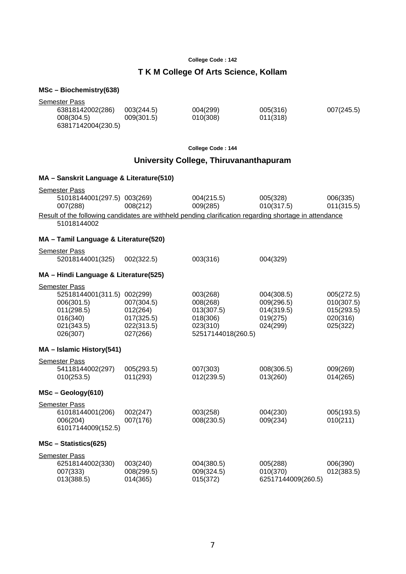## **T K M College Of Arts Science, Kollam**

#### **MSc – Biochemistry(638)**

| Semester Pass                                                                                                         |                          |                                        |                        |                        |
|-----------------------------------------------------------------------------------------------------------------------|--------------------------|----------------------------------------|------------------------|------------------------|
| 63818142002(286)<br>008(304.5)                                                                                        | 003(244.5)<br>009(301.5) | 004(299)<br>010(308)                   | 005(316)<br>011(318)   | 007(245.5)             |
| 63817142004(230.5)                                                                                                    |                          |                                        |                        |                        |
|                                                                                                                       |                          | College Code: 144                      |                        |                        |
|                                                                                                                       |                          | University College, Thiruvananthapuram |                        |                        |
| MA - Sanskrit Language & Literature(510)                                                                              |                          |                                        |                        |                        |
| <b>Semester Pass</b>                                                                                                  |                          |                                        |                        |                        |
| 51018144001(297.5) 003(269)<br>007(288)                                                                               | 008(212)                 | 004(215.5)<br>009(285)                 | 005(328)<br>010(317.5) | 006(335)<br>011(315.5) |
| Result of the following candidates are withheld pending clarification regarding shortage in attendance<br>51018144002 |                          |                                        |                        |                        |
| MA - Tamil Language & Literature(520)                                                                                 |                          |                                        |                        |                        |
| <b>Semester Pass</b><br>52018144001(325)                                                                              | 002(322.5)               | 003(316)                               | 004(329)               |                        |
| MA - Hindi Language & Literature(525)                                                                                 |                          |                                        |                        |                        |
| <b>Semester Pass</b>                                                                                                  |                          |                                        |                        |                        |
| 52518144001(311.5) 002(299)                                                                                           |                          | 003(268)                               | 004(308.5)             | 005(272.5)             |
| 006(301.5)                                                                                                            | 007(304.5)               | 008(268)                               | 009(296.5)             | 010(307.5)             |
| 011(298.5)                                                                                                            | 012(264)                 | 013(307.5)                             | 014(319.5)             | 015(293.5)             |
| 016(340)                                                                                                              | 017(325.5)               | 018(306)                               | 019(275)               | 020(316)               |
| 021(343.5)<br>026(307)                                                                                                | 022(313.5)<br>027(266)   | 023(310)<br>52517144018(260.5)         | 024(299)               | 025(322)               |
| MA - Islamic History(541)                                                                                             |                          |                                        |                        |                        |
| <b>Semester Pass</b>                                                                                                  |                          |                                        |                        |                        |
| 54118144002(297)                                                                                                      | 005(293.5)               | 007(303)                               | 008(306.5)             | 009(269)               |
| 010(253.5)                                                                                                            | 011(293)                 | 012(239.5)                             | 013(260)               | 014(265)               |
| $MSc - Geology(610)$                                                                                                  |                          |                                        |                        |                        |
| <b>Semester Pass</b>                                                                                                  |                          |                                        |                        |                        |
| 61018144001(206)                                                                                                      | 002(247)                 | 003(258)                               | 004(230)               | 005(193.5)             |
| 006(204)<br>61017144009(152.5)                                                                                        | 007(176)                 | 008(230.5)                             | 009(234)               | 010(211)               |
| MSc - Statistics(625)                                                                                                 |                          |                                        |                        |                        |
| <b>Semester Pass</b>                                                                                                  |                          |                                        |                        |                        |
| 62518144002(330)                                                                                                      | 003(240)                 | 004(380.5)                             | 005(288)               | 006(390)               |
| 007(333)                                                                                                              | 008(299.5)               | 009(324.5)                             | 010(370)               | 012(383.5)             |
| 013(388.5)                                                                                                            | 014(365)                 | 015(372)                               | 62517144009(260.5)     |                        |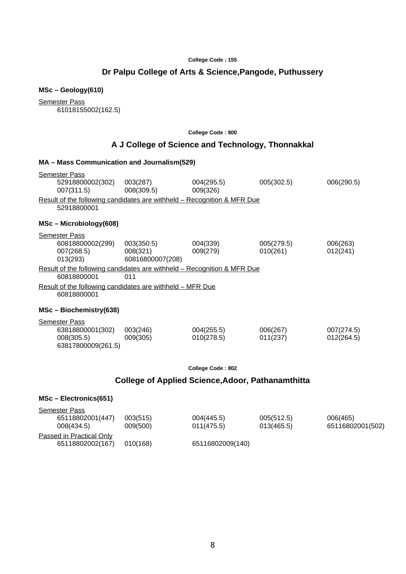## **Dr Palpu College of Arts & Science,Pangode, Puthussery**

## **MSc – Geology(610)**

Semester Pass 61018155002(162.5)

#### **College Code : 800**

## **A J College of Science and Technology, Thonnakkal**

| MA – Mass Communication and Journalism(529)                                            |                                            |                          |                        |                          |
|----------------------------------------------------------------------------------------|--------------------------------------------|--------------------------|------------------------|--------------------------|
| <b>Semester Pass</b><br>52918800002(302)<br>007(311.5)                                 | 003(287)<br>008(309.5)                     | 004(295.5)<br>009(326)   | 005(302.5)             | 006(290.5)               |
| Result of the following candidates are withheld - Recognition & MFR Due<br>52918800001 |                                            |                          |                        |                          |
| MSc - Microbiology(608)                                                                |                                            |                          |                        |                          |
| <b>Semester Pass</b><br>60818800002(299)<br>007(268.5)<br>013(293)                     | 003(350.5)<br>008(321)<br>60816800007(208) | 004(339)<br>009(279)     | 005(279.5)<br>010(261) | 006(263)<br>012(241)     |
| Result of the following candidates are withheld - Recognition & MFR Due                |                                            |                          |                        |                          |
| 60818800001                                                                            | 011                                        |                          |                        |                          |
| Result of the following candidates are withheld - MFR Due<br>60818800001               |                                            |                          |                        |                          |
| MSc - Biochemistry(638)                                                                |                                            |                          |                        |                          |
| <b>Semester Pass</b><br>63818800001(302)<br>008(305.5)<br>63817800009(261.5)           | 003(246)<br>009(305)                       | 004(255.5)<br>010(278.5) | 006(267)<br>011(237)   | 007(274.5)<br>012(264.5) |
|                                                                                        |                                            | <b>College Code: 802</b> |                        |                          |
| College of Applied Science, Adoor, Pathanamthitta                                      |                                            |                          |                        |                          |
| MSc - Electronics(651)                                                                 |                                            |                          |                        |                          |

| <b>Semester Pass</b>     |          |                  |            |                  |
|--------------------------|----------|------------------|------------|------------------|
| 65118802001(447)         | 003(515) | 004(445.5)       | 005(512.5) | 006(465)         |
| 008(434.5)               | 009(500) | 011(475.5)       | 013(465.5) | 65116802001(502) |
| Passed in Practical Only |          |                  |            |                  |
| 65118802002(167)         | 010(168) | 65116802009(140) |            |                  |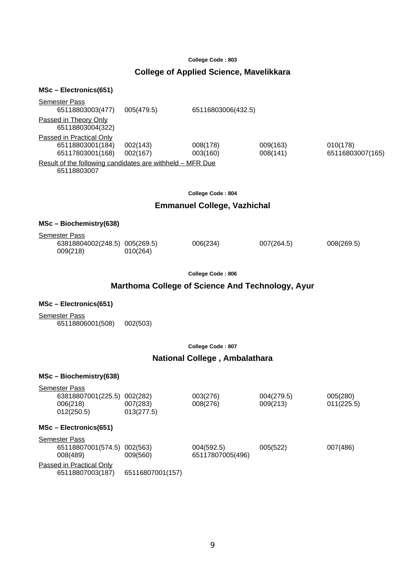## **College of Applied Science, Mavelikkara**

#### **MSc – Electronics(651)**

| <b>Semester Pass</b>                                                            |                      |                      |                      |                              |
|---------------------------------------------------------------------------------|----------------------|----------------------|----------------------|------------------------------|
| 65118803003(477)                                                                | 005(479.5)           | 65116803006(432.5)   |                      |                              |
| Passed in Theory Only<br>65118803004(322)                                       |                      |                      |                      |                              |
| <b>Passed in Practical Only</b><br>65118803001(184)<br>65117803001(168)         | 002(143)<br>002(167) | 008(178)<br>003(160) | 009(163)<br>008(141) | 010(178)<br>65116803007(165) |
| <u>Result of the following candidates are withheld – MFR Due</u><br>65118803007 |                      |                      |                      |                              |
| <b>College Code: 804</b>                                                        |                      |                      |                      |                              |
| .                                                                               |                      |                      |                      |                              |

#### **Emmanuel College, Vazhichal**

#### **MSc – Biochemistry(638)**

| Semester Pass                             |          |          |            |            |
|-------------------------------------------|----------|----------|------------|------------|
| 63818804002(248.5) 005(269.5)<br>009(218) | 010(264) | 006(234) | 007(264.5) | 008(269.5) |
|                                           |          |          |            |            |

**College Code : 806**

### **Marthoma College of Science And Technology, Ayur**

#### **MSc – Electronics(651)**

Semester Pass 65118806001(508) 002(503)

**College Code : 807**

#### **National College , Ambalathara**

#### **MSc – Biochemistry(638)**

| Semester Pass<br>63818807001(225.5) 002(282)<br>006(218)<br>012(250.5) | 007(283)<br>013(277.5) | 003(276)<br>008(276)           | 004(279.5)<br>009(213) | 005(280)<br>011(225.5) |
|------------------------------------------------------------------------|------------------------|--------------------------------|------------------------|------------------------|
| $MSc - Electronics(651)$                                               |                        |                                |                        |                        |
| Semester Pass<br>65118807001(574.5) 002(563)<br>008(489)               | 009(560)               | 004(592.5)<br>65117807005(496) | 005(522)               | 007(486)               |
| <u>Passed in Practical Only</u><br>65118807003(187)                    | 65116807001(157)       |                                |                        |                        |